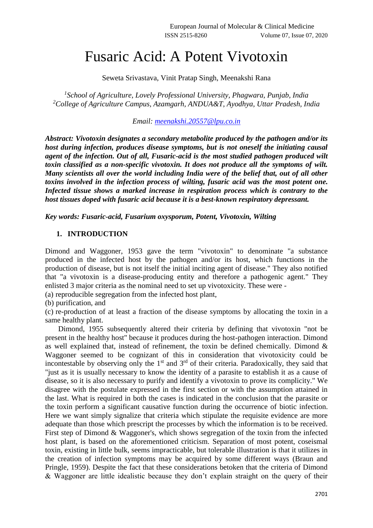## Fusaric Acid: A Potent Vivotoxin

Seweta Srivastava, Vinit Pratap Singh, Meenakshi Rana

*1 School of Agriculture, Lovely Professional University, Phagwara, Punjab, India <sup>2</sup>College of Agriculture Campus, Azamgarh, ANDUA&T, Ayodhya, Uttar Pradesh, India*

*Email: [meenakshi.20557@lpu.co.in](mailto:meenakshi.20557@lpu.co.in)*

*Abstract: Vivotoxin designates a secondary metabolite produced by the pathogen and/or its host during infection, produces disease symptoms, but is not oneself the initiating causal agent of the infection. Out of all, Fusaric-acid is the most studied pathogen produced wilt toxin classified as a non-specific vivotoxin. It does not produce all the symptoms of wilt. Many scientists all over the world including India were of the belief that, out of all other toxins involved in the infection process of wilting, fusaric acid was the most potent one. Infected tissue shows a marked increase in respiration process which is contrary to the host tissues doped with fusaric acid because it is a best-known respiratory depressant.*

*Key words: Fusaric-acid, Fusarium oxysporum, Potent, Vivotoxin, Wilting*

## **1. INTRODUCTION**

Dimond and Waggoner, 1953 gave the term "vivotoxin" to denominate "a substance produced in the infected host by the pathogen and/or its host, which functions in the production of disease, but is not itself the initial inciting agent of disease." They also notified that "a vivotoxin is a disease-producing entity and therefore a pathogenic agent." They enlisted 3 major criteria as the nominal need to set up vivotoxicity. These were -

(a) reproducible segregation from the infected host plant,

(b) purification, and

(c) re-production of at least a fraction of the disease symptoms by allocating the toxin in a same healthy plant.

Dimond, 1955 subsequently altered their criteria by defining that vivotoxin "not be present in the healthy host" because it produces during the host-pathogen interaction. Dimond as well explained that, instead of refinement, the toxin be defined chemically. Dimond & Waggoner seemed to be cognizant of this in consideration that vivotoxicity could be incontestable by observing only the  $1<sup>st</sup>$  and  $3<sup>rd</sup>$  of their criteria. Paradoxically, they said that "just as it is usually necessary to know the identity of a parasite to establish it as a cause of disease, so it is also necessary to purify and identify a vivotoxin to prove its complicity." We disagree with the postulate expressed in the first section or with the assumption attained in the last. What is required in both the cases is indicated in the conclusion that the parasite or the toxin perform a significant causative function during the occurrence of biotic infection. Here we want simply signalize that criteria which stipulate the requisite evidence are more adequate than those which prescript the processes by which the information is to be received. First step of Dimond & Waggoner's, which shows segregation of the toxin from the infected host plant, is based on the aforementioned criticism. Separation of most potent, coseismal toxin, existing in little bulk, seems impracticable, but tolerable illustration is that it utilizes in the creation of infection symptoms may be acquired by some different ways (Braun and Pringle, 1959). Despite the fact that these considerations betoken that the criteria of Dimond & Waggoner are little idealistic because they don't explain straight on the query of their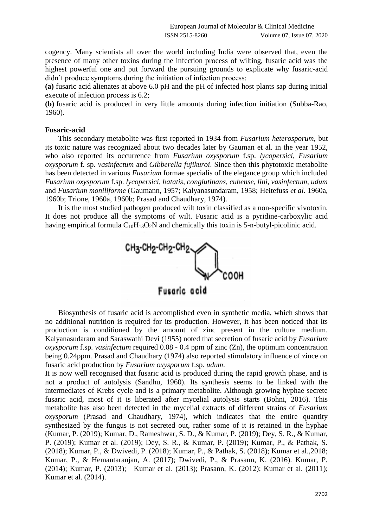cogency. Many scientists all over the world including India were observed that, even the presence of many other toxins during the infection process of wilting, fusaric acid was the highest powerful one and put forward the pursuing grounds to explicate why fusaric-acid didn't produce symptoms during the initiation of infection process:

**(a)** fusaric acid alienates at above 6.0 pH and the pH of infected host plants sap during initial execute of infection process is 6.2;

**(b)** fusaric acid is produced in very little amounts during infection initiation (Subba-Rao, 1960).

## **Fusaric-acid**

This secondary metabolite was first reported in 1934 from *Fusarium heterosporum*, but its toxic nature was recognized about two decades later by Gauman et al. in the year 1952, who also reported its occurrence from *Fusarium oxysporum* f.sp. *lycopersici*, *Fusarium oxysporum* f. sp. *vasinfectum* and *Gibberella fujikuroi*. Since then this phytotoxic metabolite has been detected in various *Fusarium* formae specialis of the elegance group which included *Fusarium oxysporum* f.sp. *lycopersici*, *batatis, conglutinans, cubense, lini, vasinfectum, udum* and *Fusarium moniliforme* (Gaumann, 1957; Kalyanasundaram, 1958; Heitefuss *et al.* 1960a, 1960b; Trione, 1960a, 1960b; Prasad and Chaudhary, 1974).

It is the most studied pathogen produced wilt toxin classified as a non-specific vivotoxin. It does not produce all the symptoms of wilt. Fusaric acid is a pyridine-carboxylic acid having empirical formula  $C_{10}H_{13}O_2N$  and chemically this toxin is 5-n-butyl-picolinic acid.



Fusaric acid

Biosynthesis of fusaric acid is accomplished even in synthetic media, which shows that no additional nutrition is required for its production. However, it has been noticed that its production is conditioned by the amount of zinc present in the culture medium. Kalyanasudaram and Saraswathi Devi (1955) noted that secretion of fusaric acid by *Fusarium oxysporum* f.sp. *vasinfectum* required 0.08 - 0.4 ppm of zinc (Zn), the optimum concentration being 0.24ppm. Prasad and Chaudhary (1974) also reported stimulatory influence of zince on fusaric acid production by *Fusarium oxysporum* f.sp. *udum*.

It is now well recognised that fusaric acid is produced during the rapid growth phase, and is not a product of autolysis (Sandhu, 1960). Its synthesis seems to be linked with the intermediates of Krebs cycle and is a primary metabolite. Although growing hyphae secrete fusaric acid, most of it is liberated after mycelial autolysis starts (Bohni, 2016). This metabolite has also been detected in the mycelial extracts of different strains of *Fusarium oxysporum* (Prasad and Chaudhary, 1974), which indicates that the entire quantity synthesized by the fungus is not secreted out, rather some of it is retained in the hyphae (Kumar, P. (2019); Kumar, D., Rameshwar, S. D., & Kumar, P. (2019); Dey, S. R., & Kumar, P. (2019); Kumar et al. (2019); Dey, S. R., & Kumar, P. (2019); Kumar, P., & Pathak, S. (2018); Kumar, P., & Dwivedi, P. (2018); Kumar, P., & Pathak, S. (2018); Kumar et al.,2018; Kumar, P., & Hemantaranjan, A. (2017); Dwivedi, P., & Prasann, K. (2016). Kumar, P. (2014); Kumar, P. (2013); Kumar et al. (2013); Prasann, K. (2012); Kumar et al. (2011); Kumar et al. (2014).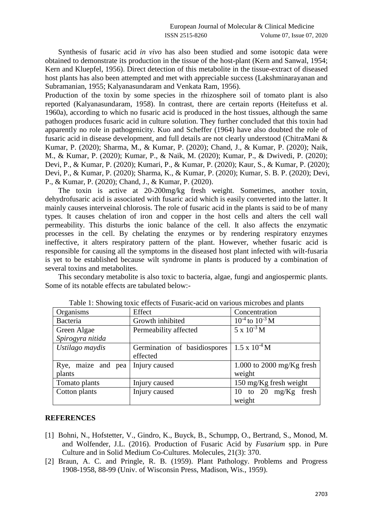Synthesis of fusaric acid *in vivo* has also been studied and some isotopic data were obtained to demonstrate its production in the tissue of the host-plant (Kern and Sanwal, 1954; Kern and Kluepfel, 1956). Direct detection of this metabolite in the tissue-extract of diseased host plants has also been attempted and met with appreciable success (Lakshminarayanan and Subramanian, 1955; Kalyanasundaram and Venkata Ram, 1956).

Production of the toxin by some species in the rhizosphere soil of tomato plant is also reported (Kalyanasundaram, 1958). In contrast, there are certain reports (Heitefuss et al. 1960a), according to which no fusaric acid is produced in the host tissues, although the same pathogen produces fusaric acid in culture solution. They further concluded that this toxin had apparently no role in pathogenicity. Kuo and Scheffer (1964) have also doubted the role of fusaric acid in disease development, and full details are not clearly understood (ChitraMani & Kumar, P. (2020); Sharma, M., & Kumar, P. (2020); Chand, J., & Kumar, P. (2020); Naik, M., & Kumar, P. (2020); Kumar, P., & Naik, M. (2020); Kumar, P., & Dwivedi, P. (2020); Devi, P., & Kumar, P. (2020); Kumari, P., & Kumar, P. (2020); Kaur, S., & Kumar, P. (2020); Devi, P., & Kumar, P. (2020); Sharma, K., & Kumar, P. (2020); Kumar, S. B. P. (2020); Devi, P., & Kumar, P. (2020); Chand, J., & Kumar, P. (2020).

The toxin is active at 20-200mg/kg fresh weight. Sometimes, another toxin, dehydrofusaric acid is associated with fusaric acid which is easily converted into the latter. It mainly causes interveinal chlorosis. The role of fusaric acid in the plants is said to be of many types. It causes chelation of iron and copper in the host cells and alters the cell wall permeability. This disturbs the ionic balance of the cell. It also affects the enzymatic processes in the cell. By chelating the enzymes or by rendering respiratory enzymes ineffective, it alters respiratory pattern of the plant. However, whether fusaric acid is responsible for causing all the symptoms in the diseased host plant infected with wilt-fusaria is yet to be established because wilt syndrome in plants is produced by a combination of several toxins and metabolites.

This secondary metabolite is also toxic to bacteria, algae, fungi and angiospermic plants. Some of its notable effects are tabulated below:-

| Organisms          | Effect                       | Concentration             |
|--------------------|------------------------------|---------------------------|
| Bacteria           | Growth inhibited             | $10^{-4}$ to $10^{-3}$ M  |
| Green Algae        | Permeability affected        | $5 \times 10^{-3}$ M      |
| Spirogyra nitida   |                              |                           |
| Ustilago maydis    | Germination of basidiospores | $1.5 \times 10^{-4}$ M    |
|                    | effected                     |                           |
| Rye, maize and pea | Injury caused                | 1.000 to 2000 mg/Kg fresh |
| plants             |                              | weight                    |
| Tomato plants      | Injury caused                | 150 mg/Kg fresh weight    |
| Cotton plants      | Injury caused                | 10 to 20 mg/Kg fresh      |
|                    |                              | weight                    |

Table 1: Showing toxic effects of Fusaric-acid on various microbes and plants

## **REFERENCES**

- [1] Bohni, N., Hofstetter, V., Gindro, K., Buyck, B., Schumpp, O., Bertrand, S., Monod, M. and Wolfender, J.L. (2016). Production of Fusaric Acid by *Fusarium* spp. in Pure Culture and in Solid Medium Co-Cultures. Molecules, 21(3): 370.
- [2] Braun, A. C. and Pringle, R. B. (1959). Plant Pathology. Problems and Progress 1908-1958, 88-99 (Univ. of Wisconsin Press, Madison, Wis., 1959).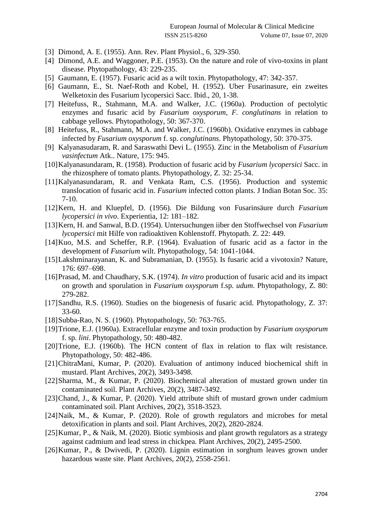- [3] Dimond, A. E. (1955). Ann. Rev. Plant Physiol., 6, 329-350.
- [4] Dimond, A.E. and Waggoner, P.E. (1953). On the nature and role of vivo-toxins in plant disease. Phytopathology, 43: 229-235.
- [5] Gaumann, E. (1957). Fusaric acid as a wilt toxin. Phytopathology, 47: 342-357.
- [6] Gaumann, E., St. Naef-Roth and Kobel, H. (1952). Uber Fusarinasure, ein zweites Welketoxin des Fusarium lycopersici Sacc. Ibid., 20, 1-38.
- [7] Heitefuss, R., Stahmann, M.A. and Walker, J.C. (1960a). Production of pectolytic enzymes and fusaric acid by *Fusarium oxysporum, F. conglutinans* in relation to cabbage yellows. Phytopathology, 50: 367-370.
- [8] Heitefuss, R., Stahmann, M.A. and Walker, J.C. (1960b). Oxidative enzymes in cabbage infected by *Fusarium oxysporum* f. sp. *conglutinans*. Phytopathology, 50: 370-375.
- [9] Kalyanasudaram, R. and Saraswathi Devi L. (1955). Zinc in the Metabolism of *Fusarium vasinfectum* Atk.. Nature, 175: 945.
- [10]Kalyanasundaram, R. (1958). Production of fusaric acid by *Fusarium lycopersici* Sacc. in the rhizosphere of tomato plants. Phytopathology, Z. 32: 25-34.
- [11]Kalyanasundaram, R. and Venkata Ram, C.S. (1956). Production and systemic translocation of fusaric acid in. *Fusarium* infected cotton plants. J Indian Botan Soc. 35: 7-10.
- [12]Kern, H. and Kluepfel, D. (1956). Die Bildung von Fusarinsäure durch *Fusarium lycopersici in vivo*. Experientia, 12: 181–182.
- [13]Kern, H. and Sanwal, B.D. (1954). Untersuchungen iiber den Stoffwechsel von *Fusarium lycopersici* mit Hilfe von radioaktiven Kohlenstoff. Phytopath. Z. 22: 449.
- [14]Kuo, M.S. and Scheffer, R.P. (1964). Evaluation of fusaric acid as a factor in the development of *Fusarium* wilt. Phytopathology, 54: 1041-1044.
- [15]Lakshminarayanan, K. and Subramanian, D. (1955). Is fusaric acid a vivotoxin? Nature, 176: 697–698.
- [16]Prasad, M. and Chaudhary, S.K. (1974). *In vitro* production of fusaric acid and its impact on growth and sporulation in *Fusarium oxysporum* f.sp. *udum*. Phytopathology, Z. 80: 279-282.
- [17]Sandhu, R.S. (1960). Studies on the biogenesis of fusaric acid. Phytopathology, Z. 37: 33-60.
- [18]Subba-Rao, N. S. (1960). Phytopathology, 50: 763-765.
- [19]Trione, E.J. (1960a). Extracellular enzyme and toxin production by *Fusarium oxysporum*  f. sp. *lini*. Phytopathology, 50: 480-482.
- [20] Trione, E.J. (1960b). The HCN content of flax in relation to flax wilt resistance. Phytopathology, 50: 482-486.
- [21]ChitraMani, Kumar, P. (2020). Evaluation of antimony induced biochemical shift in mustard. Plant Archives, 20(2), 3493-3498.
- [22]Sharma, M., & Kumar, P. (2020). Biochemical alteration of mustard grown under tin contaminated soil. Plant Archives, 20(2), 3487-3492.
- [23]Chand, J., & Kumar, P. (2020). Yield attribute shift of mustard grown under cadmium contaminated soil. Plant Archives, 20(2), 3518-3523.
- [24]Naik, M., & Kumar, P. (2020). Role of growth regulators and microbes for metal detoxification in plants and soil. Plant Archives, 20(2), 2820-2824.
- [25]Kumar, P., & Naik, M. (2020). Biotic symbiosis and plant growth regulators as a strategy against cadmium and lead stress in chickpea. Plant Archives, 20(2), 2495-2500.
- [26]Kumar, P., & Dwivedi, P. (2020). Lignin estimation in sorghum leaves grown under hazardous waste site. Plant Archives, 20(2), 2558-2561.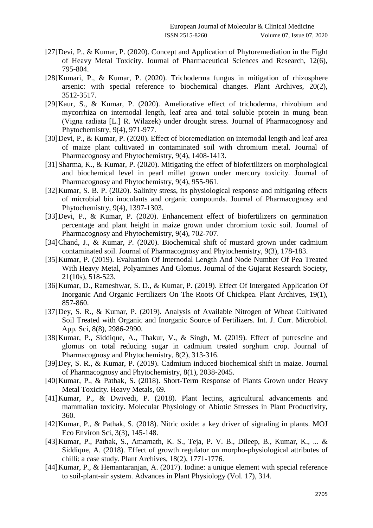- [27]Devi, P., & Kumar, P. (2020). Concept and Application of Phytoremediation in the Fight of Heavy Metal Toxicity. Journal of Pharmaceutical Sciences and Research, 12(6), 795-804.
- [28]Kumari, P., & Kumar, P. (2020). Trichoderma fungus in mitigation of rhizosphere arsenic: with special reference to biochemical changes. Plant Archives, 20(2), 3512-3517.
- [29]Kaur, S., & Kumar, P. (2020). Ameliorative effect of trichoderma, rhizobium and mycorrhiza on internodal length, leaf area and total soluble protein in mung bean (Vigna radiata [L.] R. Wilazek) under drought stress. Journal of Pharmacognosy and Phytochemistry, 9(4), 971-977.
- [30]Devi, P., & Kumar, P. (2020). Effect of bioremediation on internodal length and leaf area of maize plant cultivated in contaminated soil with chromium metal. Journal of Pharmacognosy and Phytochemistry, 9(4), 1408-1413.
- [31]Sharma, K., & Kumar, P. (2020). Mitigating the effect of biofertilizers on morphological and biochemical level in pearl millet grown under mercury toxicity. Journal of Pharmacognosy and Phytochemistry, 9(4), 955-961.
- [32]Kumar, S. B. P. (2020). Salinity stress, its physiological response and mitigating effects of microbial bio inoculants and organic compounds. Journal of Pharmacognosy and Phytochemistry, 9(4), 1397-1303.
- [33]Devi, P., & Kumar, P. (2020). Enhancement effect of biofertilizers on germination percentage and plant height in maize grown under chromium toxic soil. Journal of Pharmacognosy and Phytochemistry, 9(4), 702-707.
- [34]Chand, J., & Kumar, P. (2020). Biochemical shift of mustard grown under cadmium contaminated soil. Journal of Pharmacognosy and Phytochemistry, 9(3), 178-183.
- [35]Kumar, P. (2019). Evaluation Of Internodal Length And Node Number Of Pea Treated With Heavy Metal, Polyamines And Glomus. Journal of the Gujarat Research Society, 21(10s), 518-523.
- [36]Kumar, D., Rameshwar, S. D., & Kumar, P. (2019). Effect Of Intergated Application Of Inorganic And Organic Fertilizers On The Roots Of Chickpea. Plant Archives, 19(1), 857-860.
- [37]Dey, S. R., & Kumar, P. (2019). Analysis of Available Nitrogen of Wheat Cultivated Soil Treated with Organic and Inorganic Source of Fertilizers. Int. J. Curr. Microbiol. App. Sci, 8(8), 2986-2990.
- [38]Kumar, P., Siddique, A., Thakur, V., & Singh, M. (2019). Effect of putrescine and glomus on total reducing sugar in cadmium treated sorghum crop. Journal of Pharmacognosy and Phytochemistry, 8(2), 313-316.
- [39]Dey, S. R., & Kumar, P. (2019). Cadmium induced biochemical shift in maize. Journal of Pharmacognosy and Phytochemistry, 8(1), 2038-2045.
- [40]Kumar, P., & Pathak, S. (2018). Short-Term Response of Plants Grown under Heavy Metal Toxicity. Heavy Metals, 69.
- [41]Kumar, P., & Dwivedi, P. (2018). Plant lectins, agricultural advancements and mammalian toxicity. Molecular Physiology of Abiotic Stresses in Plant Productivity, 360.
- [42]Kumar, P., & Pathak, S. (2018). Nitric oxide: a key driver of signaling in plants. MOJ Eco Environ Sci, 3(3), 145-148.
- [43]Kumar, P., Pathak, S., Amarnath, K. S., Teja, P. V. B., Dileep, B., Kumar, K., ... & Siddique, A. (2018). Effect of growth regulator on morpho-physiological attributes of chilli: a case study. Plant Archives, 18(2), 1771-1776.
- [44]Kumar, P., & Hemantaranjan, A. (2017). Iodine: a unique element with special reference to soil-plant-air system. Advances in Plant Physiology (Vol. 17), 314.